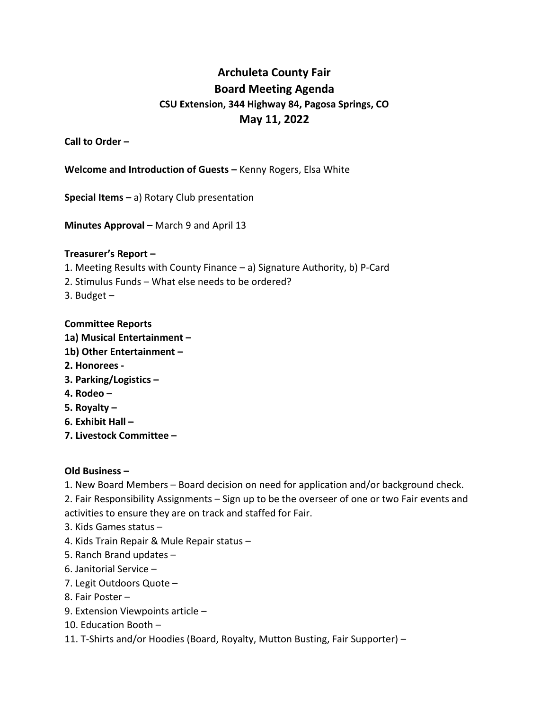# **Archuleta County Fair Board Meeting Agenda CSU Extension, 344 Highway 84, Pagosa Springs, CO May 11, 2022**

**Call to Order –**

**Welcome and Introduction of Guests -** Kenny Rogers, Elsa White

**Special Items –** a) Rotary Club presentation

**Minutes Approval –** March 9 and April 13

### **Treasurer's Report –**

- 1. Meeting Results with County Finance a) Signature Authority, b) P-Card
- 2. Stimulus Funds What else needs to be ordered?
- 3. Budget  $-$

### **Committee Reports**

- **1a) Musical Entertainment –**
- **1b) Other Entertainment –**
- **2. Honorees -**
- **3. Parking/Logistics –**
- **4. Rodeo –**
- **5. Royalty –**
- **6. Exhibit Hall –**
- **7. Livestock Committee –**

## **Old Business –**

1. New Board Members – Board decision on need for application and/or background check.

2. Fair Responsibility Assignments – Sign up to be the overseer of one or two Fair events and activities to ensure they are on track and staffed for Fair.

- 3. Kids Games status –
- 4. Kids Train Repair & Mule Repair status –
- 5. Ranch Brand updates –
- 6. Janitorial Service –
- 7. Legit Outdoors Quote –
- 8. Fair Poster –
- 9. Extension Viewpoints article –
- 10. Education Booth –
- 11. T-Shirts and/or Hoodies (Board, Royalty, Mutton Busting, Fair Supporter) –